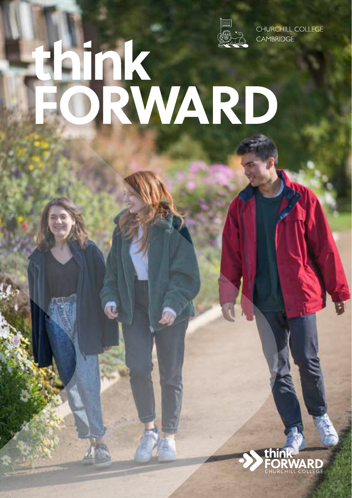

CHURCHILL COLLEGE **CAMBRIDGE** 

# hink<br>ORWARD

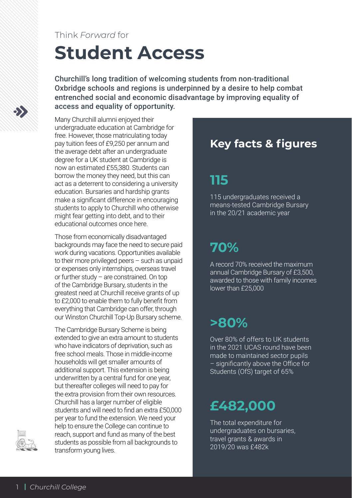### Think *Forward* for

# **Student Access**

Churchill's long tradition of welcoming students from non-traditional Oxbridge schools and regions is underpinned by a desire to help combat entrenched social and economic disadvantage by improving equality of access and equality of opportunity.

Many Churchill alumni enjoyed their undergraduate education at Cambridge for free. However, those matriculating today pay tuition fees of £9,250 per annum and the average debt after an undergraduate degree for a UK student at Cambridge is now an estimated £55,380. Students can borrow the money they need, but this can act as a deterrent to considering a university education. Bursaries and hardship grants make a significant difference in encouraging students to apply to Churchill who otherwise might fear getting into debt, and to their educational outcomes once here.

Those from economically disadvantaged backgrounds may face the need to secure paid work during vacations. Opportunities available to their more privileged peers – such as unpaid or expenses only internships, overseas travel or further study – are constrained. On top of the Cambridge Bursary, students in the greatest need at Churchill receive grants of up to £2,000 to enable them to fully benefit from everything that Cambridge can offer, through our Winston Churchill Top-Up Bursary scheme.

The Cambridge Bursary Scheme is being extended to give an extra amount to students who have indicators of deprivation, such as free school meals. Those in middle-income households will get smaller amounts of additional support. This extension is being underwritten by a central fund for one year, but thereafter colleges will need to pay for the extra provision from their own resources. Churchill has a larger number of eligible students and will need to find an extra £50,000 per year to fund the extension. We need your help to ensure the College can continue to reach, support and fund as many of the best students as possible from all backgrounds to transform young lives.

### **Key facts & figures**

## **115**

115 undergraduates received a means-tested Cambridge Bursary in the 20/21 academic year

# **70%**

A record 70% received the maximum annual Cambridge Bursary of £3,500, awarded to those with family incomes lower than £25,000

## **>80%**

Over 80% of offers to UK students in the 2021 UCAS round have been made to maintained sector pupils – significantly above the Office for Students (OfS) target of 65%

# **£482,000**

The total expenditure for undergraduates on bursaries, travel grants & awards in 2019/20 was £482k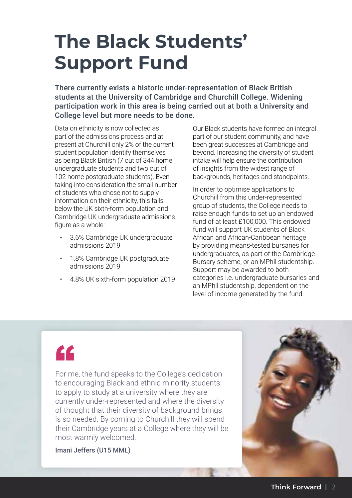# **The Black Students' Support Fund**

There currently exists a historic under-representation of Black British students at the University of Cambridge and Churchill College. Widening participation work in this area is being carried out at both a University and College level but more needs to be done.

Data on ethnicity is now collected as part of the admissions process and at present at Churchill only 2% of the current student population identify themselves as being Black British (7 out of 344 home undergraduate students and two out of 102 home postgraduate students). Even taking into consideration the small number of students who chose not to supply information on their ethnicity, this falls below the UK sixth-form population and Cambridge UK undergraduate admissions figure as a whole:

- 3.6% Cambridge UK undergraduate admissions 2019
- 1.8% Cambridge UK postgraduate admissions 2019
- 4.8% UK sixth-form population 2019

Our Black students have formed an integral part of our student community, and have been great successes at Cambridge and beyond. Increasing the diversity of student intake will help ensure the contribution of insights from the widest range of backgrounds, heritages and standpoints.

In order to optimise applications to Churchill from this under-represented group of students, the College needs to raise enough funds to set up an endowed fund of at least £100,000. This endowed fund will support UK students of Black African and African-Caribbean heritage by providing means-tested bursaries for undergraduates, as part of the Cambridge Bursary scheme, or an MPhil studentship. Support may be awarded to both categories i.e. undergraduate bursaries and an MPhil studentship, dependent on the level of income generated by the fund.

"

For me, the fund speaks to the College's dedication to encouraging Black and ethnic minority students to apply to study at a university where they are currently under-represented and where the diversity of thought that their diversity of background brings is so needed. By coming to Churchill they will spend their Cambridge years at a College where they will be most warmly welcomed.

Imani Jeffers (U15 MML)

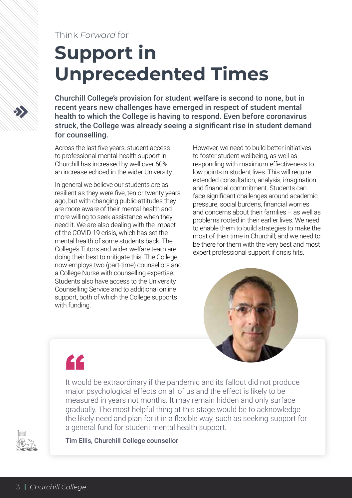### Think *Forward* for

# **Support in Unprecedented Times**

Churchill College's provision for student welfare is second to none, but in recent years new challenges have emerged in respect of student mental health to which the College is having to respond. Even before coronavirus struck, the College was already seeing a significant rise in student demand for counselling.

Across the last five years, student access to professional mental-health support in Churchill has increased by well over 60%, an increase echoed in the wider University.

In general we believe our students are as resilient as they were five, ten or twenty years ago, but with changing public attitudes they are more aware of their mental health and more willing to seek assistance when they need it. We are also dealing with the impact of the COVID-19 crisis, which has set the mental health of some students back. The College's Tutors and wider welfare team are doing their best to mitigate this. The College now employs two (part-time) counsellors and a College Nurse with counselling expertise. Students also have access to the University Counselling Service and to additional online support, both of which the College supports with funding.

However, we need to build better initiatives to foster student wellbeing, as well as responding with maximum effectiveness to low points in student lives. This will require extended consultation, analysis, imagination and financial commitment. Students can face significant challenges around academic pressure, social burdens, financial worries and concerns about their families – as well as problems rooted in their earlier lives. We need to enable them to build strategies to make the most of their time in Churchill; and we need to be there for them with the very best and most expert professional support if crisis hits.



"

It would be extraordinary if the pandemic and its fallout did not produce major psychological effects on all of us and the effect is likely to be measured in years not months. It may remain hidden and only surface gradually. The most helpful thing at this stage would be to acknowledge the likely need and plan for it in a flexible way, such as seeking support for a general fund for student mental health support.



Tim Ellis, Churchill College counsellor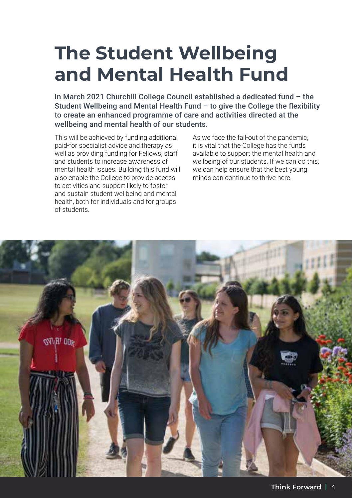# **The Student Wellbeing and Mental Health Fund**

In March 2021 Churchill College Council established a dedicated fund – the Student Wellbeing and Mental Health Fund – to give the College the flexibility to create an enhanced programme of care and activities directed at the wellbeing and mental health of our students.

This will be achieved by funding additional paid-for specialist advice and therapy as well as providing funding for Fellows, staff and students to increase awareness of mental health issues. Building this fund will also enable the College to provide access to activities and support likely to foster and sustain student wellbeing and mental health, both for individuals and for groups of students.

As we face the fall-out of the pandemic, it is vital that the College has the funds available to support the mental health and wellbeing of our students. If we can do this, we can help ensure that the best young minds can continue to thrive here.

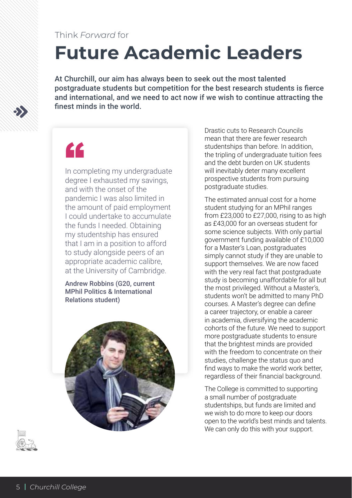### Think *Forward* for

# **Future Academic Leaders**

At Churchill, our aim has always been to seek out the most talented postgraduate students but competition for the best research students is fierce and international, and we need to act now if we wish to continue attracting the finest minds in the world.

# "

In completing my undergraduate degree I exhausted my savings, and with the onset of the pandemic I was also limited in the amount of paid employment I could undertake to accumulate the funds I needed. Obtaining my studentship has ensured that I am in a position to afford to study alongside peers of an appropriate academic calibre, at the University of Cambridge.

Andrew Robbins (G20, current MPhil Politics & International Relations student)



Drastic cuts to Research Councils mean that there are fewer research studentships than before. In addition, the tripling of undergraduate tuition fees and the debt burden on UK students will inevitably deter many excellent prospective students from pursuing postgraduate studies.

The estimated annual cost for a home student studying for an MPhil ranges from £23,000 to £27,000, rising to as high as £43,000 for an overseas student for some science subjects. With only partial government funding available of £10,000 for a Master's Loan, postgraduates simply cannot study if they are unable to support themselves. We are now faced with the very real fact that postgraduate study is becoming unaffordable for all but the most privileged. Without a Master's, students won't be admitted to many PhD courses. A Master's degree can define a career trajectory, or enable a career in academia, diversifying the academic cohorts of the future. We need to support more postgraduate students to ensure that the brightest minds are provided with the freedom to concentrate on their studies, challenge the status quo and find ways to make the world work better, regardless of their financial background.

The College is committed to supporting a small number of postgraduate studentships, but funds are limited and we wish to do more to keep our doors open to the world's best minds and talents. We can only do this with your support.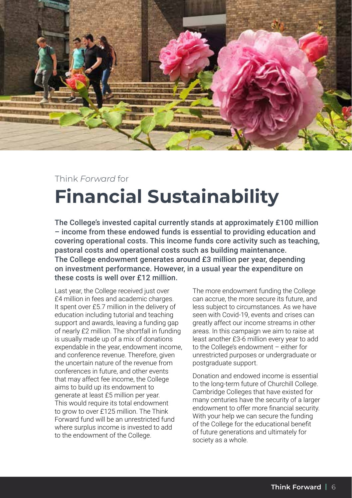

# Think *Forward* for **Financial Sustainability**

The College's invested capital currently stands at approximately £100 million – income from these endowed funds is essential to providing education and covering operational costs. This income funds core activity such as teaching, pastoral costs and operational costs such as building maintenance. The College endowment generates around £3 million per year, depending on investment performance. However, in a usual year the expenditure on these costs is well over £12 million.

Last year, the College received just over £4 million in fees and academic charges. It spent over £5.7 million in the delivery of education including tutorial and teaching support and awards, leaving a funding gap of nearly £2 million. The shortfall in funding is usually made up of a mix of donations expendable in the year, endowment income, and conference revenue. Therefore, given the uncertain nature of the revenue from conferences in future, and other events that may affect fee income, the College aims to build up its endowment to generate at least £5 million per year. This would require its total endowment to grow to over £125 million. The Think Forward fund will be an unrestricted fund where surplus income is invested to add to the endowment of the College.

The more endowment funding the College can accrue, the more secure its future, and less subject to circumstances. As we have seen with Covid-19, events and crises can greatly affect our income streams in other areas. In this campaign we aim to raise at least another £3-6 million every year to add to the College's endowment – either for unrestricted purposes or undergraduate or postgraduate support.

Donation and endowed income is essential to the long-term future of Churchill College. Cambridge Colleges that have existed for many centuries have the security of a larger endowment to offer more financial security. With your help we can secure the funding of the College for the educational benefit of future generations and ultimately for society as a whole.